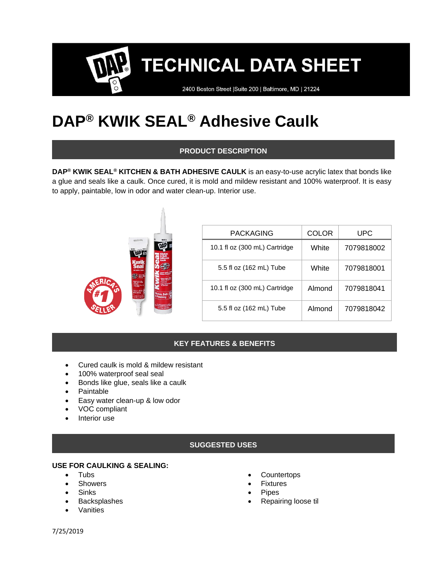2400 Boston Street | Suite 200 | Baltimore, MD | 21224

# **DAP® KWIK SEAL® Adhesive Caulk**

# **PRODUCT DESCRIPTION**

**DAP® KWIK SEAL® KITCHEN & BATH ADHESIVE CAULK** is an easy-to-use acrylic latex that bonds like a glue and seals like a caulk. Once cured, it is mold and mildew resistant and 100% waterproof. It is easy to apply, paintable, low in odor and water clean-up. Interior use.

| (2)<br>Espai il ibri a Cibi<br>Control di a score<br>Faktable<br>Tale Water Direct<br>itches, Bat<br>Pamainn<br>Mchen, Bath<br>an an<br>Plumhing<br><sup>t</sup> of <b>lo</b> ng <sub>Branc</sub> or or in 1<br>Philadenal and 1971<br><b>Stiller</b> captive | <b>PACKAGING</b>              | <b>COLOR</b> | <b>UPC</b> |
|---------------------------------------------------------------------------------------------------------------------------------------------------------------------------------------------------------------------------------------------------------------|-------------------------------|--------------|------------|
|                                                                                                                                                                                                                                                               | 10.1 fl oz (300 mL) Cartridge | White        | 7079818002 |
|                                                                                                                                                                                                                                                               | 5.5 fl oz (162 mL) Tube       | White        | 7079818001 |
|                                                                                                                                                                                                                                                               | 10.1 fl oz (300 mL) Cartridge | Almond       | 7079818041 |
|                                                                                                                                                                                                                                                               | 5.5 fl oz (162 mL) Tube       | Almond       | 7079818042 |

# **KEY FEATURES & BENEFITS**

- Cured caulk is mold & mildew resistant
- 100% waterproof seal seal
- Bonds like glue, seals like a caulk
- Paintable
- Easy water clean-up & low odor
- VOC compliant
- Interior use

## **SUGGESTED USES**

#### **USE FOR CAULKING & SEALING:**

- Tubs
- **Showers**
- Sinks
- **Backsplashes**
- **Vanities**
- **Countertops**
- **Fixtures**
- **Pipes**
- Repairing loose til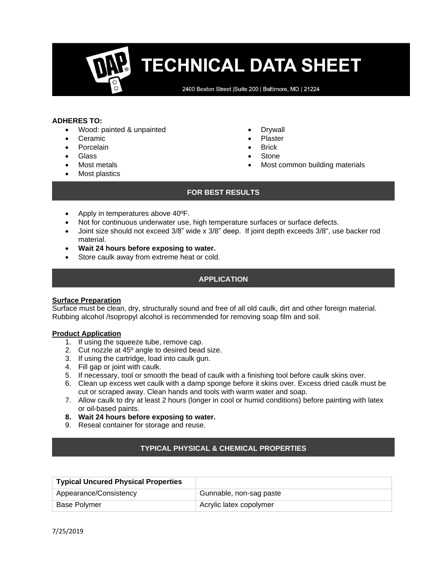2400 Boston Street | Suite 200 | Baltimore, MD | 21224

#### **ADHERES TO:**

- Wood: painted & unpainted
- Ceramic
- **Porcelain**
- Glass
- Most metals
- Most plastics
- **Drywall**
- Plaster
- **Brick**
- **Stone**
- Most common building materials

#### **FOR BEST RESULTS**

- Apply in temperatures above 40ºF.
- Not for continuous underwater use, high temperature surfaces or surface defects.
- Joint size should not exceed 3/8" wide x 3/8" deep. If joint depth exceeds 3/8", use backer rod material.
- **Wait 24 hours before exposing to water.**
- Store caulk away from extreme heat or cold.

### **APPLICATION**

#### **Surface Preparation**

Surface must be clean, dry, structurally sound and free of all old caulk, dirt and other foreign material. Rubbing alcohol /Isopropyl alcohol is recommended for removing soap film and soil.

#### **Product Application**

- 1. If using the squeeze tube, remove cap.
- 2. Cut nozzle at  $45^{\circ}$  angle to desired bead size.
- 3. If using the cartridge, load into caulk gun.
- 4. Fill gap or joint with caulk.
- 5. If necessary, tool or smooth the bead of caulk with a finishing tool before caulk skins over.
- 6. Clean up excess wet caulk with a damp sponge before it skins over. Excess dried caulk must be cut or scraped away. Clean hands and tools with warm water and soap.
- 7. Allow caulk to dry at least 2 hours (longer in cool or humid conditions) before painting with latex or oil-based paints.
- **8. Wait 24 hours before exposing to water.**
- 9. Reseal container for storage and reuse.

#### **TYPICAL PHYSICAL & CHEMICAL PROPERTIES**

| <b>Typical Uncured Physical Properties</b> |                         |
|--------------------------------------------|-------------------------|
| Appearance/Consistency                     | Gunnable, non-sag paste |
| <b>Base Polymer</b>                        | Acrylic latex copolymer |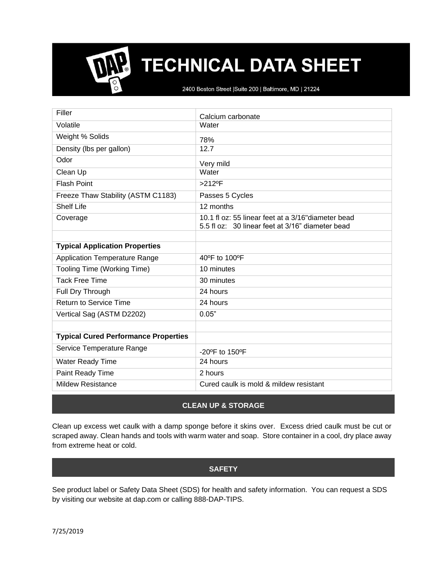2400 Boston Street | Suite 200 | Baltimore, MD | 21224

| Filler                                      | Calcium carbonate                                                                                       |
|---------------------------------------------|---------------------------------------------------------------------------------------------------------|
| Volatile                                    | Water                                                                                                   |
| Weight % Solids                             | 78%                                                                                                     |
| Density (lbs per gallon)                    | 12.7                                                                                                    |
| Odor                                        | Very mild                                                                                               |
| Clean Up                                    | Water                                                                                                   |
| <b>Flash Point</b>                          | $>212$ <sup>o</sup> F                                                                                   |
| Freeze Thaw Stability (ASTM C1183)          | Passes 5 Cycles                                                                                         |
| <b>Shelf Life</b>                           | 12 months                                                                                               |
| Coverage                                    | 10.1 fl oz: 55 linear feet at a 3/16" diameter bead<br>5.5 fl oz: 30 linear feet at 3/16" diameter bead |
|                                             |                                                                                                         |
| <b>Typical Application Properties</b>       |                                                                                                         |
| <b>Application Temperature Range</b>        | 40°F to 100°F                                                                                           |
| Tooling Time (Working Time)                 | 10 minutes                                                                                              |
| <b>Tack Free Time</b>                       | 30 minutes                                                                                              |
| Full Dry Through                            | 24 hours                                                                                                |
| <b>Return to Service Time</b>               | 24 hours                                                                                                |
| Vertical Sag (ASTM D2202)                   | 0.05"                                                                                                   |
|                                             |                                                                                                         |
| <b>Typical Cured Performance Properties</b> |                                                                                                         |
| Service Temperature Range                   | $-20^{\circ}$ F to 150 $^{\circ}$ F                                                                     |
| Water Ready Time                            | 24 hours                                                                                                |
| Paint Ready Time                            | 2 hours                                                                                                 |
| <b>Mildew Resistance</b>                    | Cured caulk is mold & mildew resistant                                                                  |

## **CLEAN UP & STORAGE**

Clean up excess wet caulk with a damp sponge before it skins over. Excess dried caulk must be cut or scraped away. Clean hands and tools with warm water and soap. Store container in a cool, dry place away from extreme heat or cold.

## **SAFETY**

See product label or Safety Data Sheet (SDS) for health and safety information. You can request a SDS by visiting our website at dap.com or calling 888-DAP-TIPS.